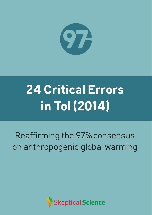

# **24 Critical Errors in Tol (2014)**

## Reaffirming the 97% consensus on anthropogenic global warming

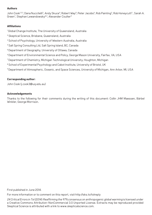#### **Authors**

John Cook<sup>1,2,3</sup>, Dana Nuccitelli<sup>2</sup>, Andy Skuce<sup>4</sup>, Robert Way<sup>5</sup>, Peter Jacobs<sup>6</sup>, Rob Painting<sup>2</sup>, Rob Honeycutt<sup>2</sup> , Sarah A. Green<sup>7</sup>, Stephan Lewandowsky<sup>8,3</sup>, Alexander Coulter<sup>9</sup>

#### **Affiliations**

1 Global Change Institute, The University of Queensland, Australia

- 2 Skeptical Science, Brisbane, Queensland, Australia
- $\rm ^3$  School of Psychology, University of Western Australia, Australia
- 4 Salt Spring Consulting Ltd, Salt Spring Island, BC, Canada
- 5 Department of Geography, University of Ottawa, Canada
- 6 Department of Environmental Science and Policy, George Mason University, Fairfax, VA, USA
- 7 Department of Chemistry, Michigan Technological University, Houghton, Michigan
- $^{\text{\tiny{8}}}$  School of Experimental Psychology and Cabot Institute, University of Bristol, UK
- $^{\rm 9}$ Department of Atmospheric, Oceanic, and Space Sciences, University of Michigan, Ann Arbor, MI, USA

#### **Corresponding author:**

John Cook (j.cook3@uq.edu.au)

#### **Acknowledgements**

Thanks to the following for their comments during the writing of this document: Collin JHM Maessen, Bärbel Winkler, George Morrison.

First published in June 2014.

For more information or to comment on this report, visit http://sks.to/tolreply

24 Critical Errors in Tol (2014): Reaffirming the 97% consensus on anthropogenic global warming is licensed under a Creative Commons Attribution-NonCommercial 3.0 Unported License. Extracts may be reproduced provided Skeptical Science is attributed with a link to www.skepticalscience.com.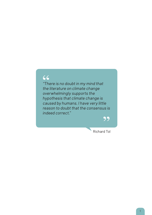## 66

*"There is no doubt in my mind that the literature on climate change overwhelmingly supports the hypothesis that climate change is caused by humans. I have very little reason to doubt that the consensus is indeed correct."*

99

Richard Tol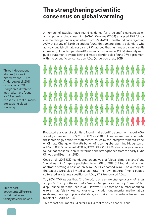#### **The strengthening scientific consensus on global warming**

A number of studies have found evidence for a scientific consensus on anthropogenic global warming (AGW). Oreskes (2004) analysed 928 'global climate change' papers published from 1993 to 2003 and found none rejecting AGW. A survey of Earth scientists found that among climate scientists who actively publish climate research, 97% agreed that humans are significantly increasing global temperature (Doran and Zimmermann, 2009). An analysis of public statements by publishing climate scientists also found 97% agreement with the scientific consensus on AGW (Anderegg et al., 2011).

*RAAAAAAAAAAAAAAAAAA* \*\*\*\*\*\*\*\*\*\*\*\*\*\*\*\*\*\*\* 

Repeated surveys of scientists found that scientific agreement about AGW steadily increased from 1996 to 2009 (Bray 2010). The consensus is reflected in the increasingly definitive statements issued by the Intergovernmental Panel on Climate Change on the attribution of recent global warming (Houghton et al 1996, 2001, Solomon et al 2007; IPCC 2013, 2014 ). Citation analysis has also found that consensus on AGW formed and strengthened from the early 1990s (Shwed and Bearman,2010).

Cook et al., 2013 (C13) conducted an analysis of 'global climate change' and 'global warming' papers published from 1991 to 2011. C13 found that among abstracts stating a position on AGW, 97.1% endorsed AGW. The authors of the papers were also invited to self-rate their own papers. Among papers self-rated as stating a position on AGW, 97.2% endorsed AGW.

Tol, 2014 (T14) agrees that *"the literature on climate change overwhelmingly supports the hypothesis that climate change is caused by humans*" but disputes the methods used in C13. However, T14 contains a number of critical errors that falsify key conclusions, include fundamental mathematical mistakes, use inappropriate statistics, and make unsubstantiated assertions (Cook et al., 2014 or C14).

This report documents 24 errors in T14 that falsify its conclusions.

Three independent studies (Doran & Zimmermann, 2009; Anderegg et al. 2011, Cook et al. 2013), using three different methods, have found a 97% scientific consensus that humans are causing global warming.

This report documents 25 errors in T14 that in sum falsify its conclusions.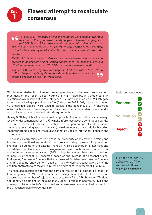

## **Flawed attempt to recalculate 1 consensus**

T14 Sec. 3.3.1: *"Reconciliations and reratings were biased towards a rejection of the hypothesis of anthropogenic climate change (<sup>2</sup> =62; p<0.001; Figure S20). However, the number of endorsements far exceeds the number of rejections. Therefore, applying the same correction to the 6.7% incorrectly rated abstracts, the consensus rate falls from 98% to 91%."*

T14 Sec 3.4: *"If methods and palaeoclimate papers are misrated in the same proportion as impacts and mitigation papers, then the consensus rate is 89.9% (all endorsements) and 93.8% (explicit endorsements only)."*

T14 Sec. 4.0: *"Removing irrelevant papers, I find that, rather than 3%, up to 10% of papers explicitly disagree with the hypothesis that climate change is real and largely anthropogenic.*

C13 classified abstracts of climate science papers based on the level of endorsement that most of the recent global warming is man-made (AGW, Categories 1–3), rejection or minimisation of AGW (Categories 5–7), or 'no position' on AGW (Category 4). Abstracts taking a position on AGW (Categories 1–3 & 5–7, plus an estimated 40 'undecided' papers) were used to calculate the consensus; 97.1% endorsed AGW. Each abstract was categorised by at least two independent raters, and a reconciliation process resolved rater disagreements.

Healey (2011) highlights the problematic approach of using an ordinal variable (e.g., level of endorsement labelled 1 to 7) to make inferences about a continuous quantity such as consensus (in this case, defined as the percentage of endorsements among papers stating a position on AGW) . We demonstrate that statistics based on inappropriate use of ordinal measures cannot be used to infer uncertainties in the consensus.

T14 applies a 'correction' assuming that the probability of an erroneous rating and the size of correction does not depend on the rating category, except for preventing changes to outside of the category range 1–7. This assumption is incorrect and invalidates the T14 correction. Disagreement was much more common over endorsement or rejection ratings (34% of disputed cases) than over no position ratings (9% of cases). T14 assumes, based on the average of all reconciliations, that among 'no position' papers that are misrated, 55% become 'rejection' papers and 45% become 'endorsement' papers. In reality, during reconciliation, 2% of 'no position' abstracts were moved to 'rejection' and 98% to 'endorsement' (Figure 1a).

The false assumption of applying the same correction for all categories leads T14 to recategorise 293 "No Position" abstracts as Rejection abstracts. This more than quadruples the number of rejection abstracts from 78 to 379. However, T14 does not identify a single one of the supposed 300 extra rejection abstracts. This is the primary contributor to Tol's unjustified and consequently incorrect adjustment of the 97% consensus to 91% (Figure 1b).

#### Endorsement Levels



T14 does not identify a single one of the supposed 300 extra rejection abstracts.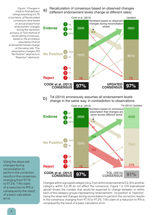Recalculation of consensus based on observed changes a) recalculation of consensus based on observed change<br>(different endorsement levels change at different rates)



Tol (2014) erroneously assumes all endorsement levels change in the same way, in contradiction to observations b)



Using the observed changes during reconciliation to perform the correction results in the consensus changing from 97.1% to 97.2%. T14's claim of a reduction to 91% is consequently the result of a basic calculation error.

*Figure 1. Changes in initial to final abstract ratings assuming a 6.7% uncertainty. a) Recalculated consensus value based on actual proportional* 

*during the resolution process. b) Tol's method of recalculating consensus, based on the erroneous assumption that all* 

*endorsement levels change at the same rate. This assumption changes 293* 

*"Rejection" abstracts.*

Changes within a grouped category (e.g. from within endorsements {1,2,3} to another category within {1,2,3}) do not affect the consensus. Figure 1 in C14 (reproduced above) shows the number that would be expected to change between or within each of the category groups representing 'endorsement', 'no position' or 'rejection'. Using the observed changes during reconciliation to perform the correction results in the consensus changing from 97.1% to 97.2%. T14's claim of a reduction to 91% is consequently the result of a basic calculation error.

4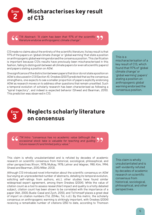

#### **Mischaracterises key result of C13**

T14 Abstract: *"A claim has been that 97% of the scientific literature endorse anthropogenic climate change".* 

C13 made no claims about the entirety of the scientific literature. Its key result is that 97% of the papers on 'global climate change' or 'global warming' that state a position on anthropogenic global warming endorsed the consensus position. This clarification is important because C13's results have previously been mischaracterised in this fashion, failing to distinguish between all climate papers (or even all scientific papers) and papers stating a position on AGW.

One significance of the distinction between papers that do or do not state a position on AGW is discussed in C13 (Section 4). Oreskes (2007) predicted that as the consensus strengthens, one expects to see a smaller proportion of papers explicitly endorsing AGW as research moves on to address other questions that remain unsettled. Such a temporal evolution of scholarly research has been characterised as following a "spiral trajectory", and indeed is expected behavior (Shwed and Bearman, 2010). This prediction was observed in C13.

This is a

mischaracterisation of a key result of C13, which found that 97% of 'global climate change' or 'global warming' papers' *stating a position on anthropogenic global warming* endorsed the consensus position.



#### **Neglects scholarly literature on consensus**

*T14 Intro: "consensus has no academic value (although the occasional stock take is valuable for teaching and guiding future research) and limited policy value."*

This claim is wholly unsubstantiated and is refuted by decades of academic research on scientific consensus from historical, sociological, philosophical, and other perspectives (Knorr, 1978; Mulkay, 1978; Lehrer and Wagner, 1981; Kim, 1994; Shwed and Bearman, 2010; Miller, 2013).

Although C13 introduced novel information about the scientific consensus on AGW (surveying an unprecedented number of abstracts, detailing its temporal evolution, soliciting self-ratings from authors, etc.), other studies have found similar widespread expert agreement, among them Oreskes (2004). While the value of citation count as a tool to assess research(er) impact and quality is a hotly debated subject, citation count has been shown to be correlated with the importance of a paper (Abt, 2000; Buela-Casal and Zych, 2010), and Tol himself places a great deal of import on citation numbers (Tol, 2014a.; Tol, n.d.). By this metric, the scholarly consensus on anthropogenic warming is strikingly important, with Oreskes (2004) receiving a remarkable number of citations (250 to date, according to Thomson

This claim is wholly unsubstantiated and is self-evidently refuted by decades of academic research on scientific consensus from historical, sociological, philosophical, and other perspectives.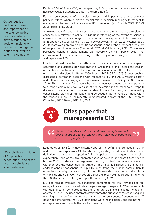Consensus is of particular interest and importance at the science-policy interface, where it plays a crucial role in decision-making with respect to management issues that involve a scientific component.

Reuters' Web of ScienceTM; for perspective, Tol's most-cited paper as lead author has received 235 citations to date in the same index).

Further, consensus is of particular interest and importance at the sciencepolicy interface, where it plays a crucial role in decision-making with respect to management issues that involve a scientific component (e.g. Boesch, 1999; NCEAS, 2001; Heisler et al., 2008).

A growing body of research has demonstrated that for climate change the scientific consensus is relevant to policy. Public understanding of the extent of scientific consensus on climate change is fundamental to acceptance of its threats and anthropogenic cause (Ding et al., 2011; Lewandowsky et al., 2012; Kotcher et al., 2014). Moreover, perceived scientific consensus is one of the strongest predictors of support for climate policy (Ding et al., 2011; McCright et al., 2013). Conversely, perceived scientific disagreement can severely diminish public belief that environmental problems are occurring and that they require policy response (Aklin and Urpelainen, 2014).

Finally, it should be noted that attempted consensus devaluation is a staple of contrarian and science-denialist rhetoric. Creationists and "Intelligent Design" advocates are notorious for claiming that consensus is of little value in science or is itself anti-scientific (Behe, 2009; Meyer, 2009; C4ID, 2011). Groups pushing discredited, contrarian positions with respect to HIV and AIDS, vaccine safety, and others likewise engage in consensus devaluation (Kirkby, 2008; Bauer, 2013). The motivation for those who find themselves amongst or sympathetic to a fringe community well outside of the scientific mainstream to attempt to discredit consensus is of course self-evident. It is also frequently accompanied by conspiratorial claims of intimidation and persecution at the hands of those within the consensus, as Dr. Tol recently demonstrated in front of the U.S. Congress (Crowther, 2005; Bauer, 2013; Tol, 2014b).

#### **Cites paper that misrepresents C13 4 Error**

*T14 Intro: "Legates et al. tried and failed to replicate part of Cook's abstract ratings, showing that their definitions were inconsistently applied."*

L13 apply the technique of "impossible expectation", one of the five characteristics of science denialism

Legates et al. 2013 (L13) inconsistently applies the definitions provided in C13. In addition, L13 misrepresents C13 by fabricating a category definition (catastrophist definition) that was not adopted in C13. L13 applies the technique of "impossible expectation", one of the five characteristics of science denialism (Diethelm and McKee, 2009), to derive their argument that only 0.3% of the papers analysed in C13 endorsed the consensus. To arrive at this value, L13 raises the standard of endorsement of consensus to explicitly quantifying the human contribution to more than half of global warming, ruling out thousands of abstracts that explicitly or implicitly endorse AGW. In short, L13 derives its result by inappropriately ignoring the 3,833 abstracts explicitly or implicitly endorsing AGW.

L13 also fails to evaluate the consensus percentage for their revised abstract ratings. Instead, it simply evaluates the percentage of explicit AGW endorsements with quantification compared to the entire literature sample, including 'no position' abstracts. Thus it includes abstracts irrelevant to the question of the cause of global warming, and therefore do not accurately test for consensus. Consequently, L13 does not demonstrate that C13's definitions were inconsistently applied. Rather, it misrepresents and distorts the results presented in C13.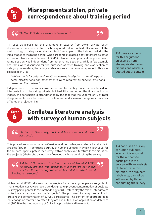

## **Misrepresents stolen, private correspondence about training period**

*T14 Sec. 2: "Raters were not independent."* 



T14 uses as a basis for this argument an excerpt from stolen private forum discussions (Lacatena, 2014) which is quoted out of context. Discussion of the methodology of categorising abstract text formed part of the training period in the initial stages of the rating period. When presented to raters, abstracts were selected at random from a sample size of 12,464. Hence for all practical purposes, each rating session was independent from other rating sessions. While a few example abstracts were discussed for the purposes of rater training and clarification of category parameters, the ratings and raters were otherwise independent. This was discussed in C13;

*"While criteria for determining ratings were defined prior to the rating period, some clarifications and amendments were required as specific situations presented themselves."*

Independence of the raters was important to identify uncertainties based on interpretation of the rating criteria, but had little bearing on the final conclusion. Indeed, the conclusion is strengthened by the fact that the vast majority of rater disagreements were between no position and endorsement categories; very few affected the rejection bin.

T14 uses as a basis for this argument an excerpt from stolen private forum discussions which is quoted out of context



## **Conflates literature analysis with survey of human subjects**

*T14 Sec. 2: "Unusually, Cook and his co-authors all rated abstracts".*

This procedure is not unusual – Oreskes and her colleagues rated all abstracts in Oreskes (2004). T14 confuses a survey of human subjects, in which it is unusual for the authors to participate in the survey, with an analysis of literature. In this situation, the subjects (abstracts) cannot be influenced by those conducting the survey.

*T14 Sec. 2: "In deviation from best practice (Mohler et al. 2008), no survey protocol was published; it is therefore not known whether the 4th rating was an ad hoc addition, which would invalidate the result."*

Mohler et al. (2008) discuss methodologies for surveying people as subjects. In that situation, survey protocols are designed to prevent contamination of subjects (survey participants). In the methodology of C13, raters play the role of interviewers while the abstracts act as the "subjects". The purpose of survey protocol is to prevent the contamination of survey participants. The content of abstracts does not change no matter how often they are consulted. T14's application of Mohler et al. (2008) to the methodology of C13 is inappropriate and irrelevant.

T14 confuses a survey of human subjects, in which it is unusual for the authors to participate in the survey, with an analysis of literature. In this situation, the subjects (abstracts) cannot be influenced by those conducting the survey.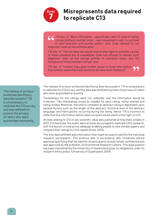

#### **Misrepresents data required to replicate C13**

*T14 Sec. 2: "More information – specifically, rater ID, time of rating, survey protocol, and lab notes – was requested in vain, in contrast to best practice3 and journal policy4 . John Cook refused to run diagnostic tests on the withheld data."*

*T14 Sec. 4: "The full data-set would shed further light on possible causes of these problems but is unavailable. Cook has refused to release such diagnostic tests as the ratings profiles of individual raters, and the histogram of times between ratings." and*

*T14 Sec. 5: "Instead, they gave further cause to those who believe that climate researchers are secretive (as data were held back)"*

The release of privacyprotected identifying data discussed in T14 is unnecessary to replicate the C13 survey, and was withheld to protect the privacy of raters who were guaranteed anonymity.

The release of privacy-protected identifying data discussed in T14 is unnecessary to replicate the C13 survey, and the data was withheld to protect the privacy of raters who were guaranteed anonymity.

Timestamps for the ratings were not collected, and the information would be irrelevant. Two timestamps would be needed for each rating: rating-started and rating-ended. Moreover, the time to complete an abstract rating is dependent upon several factors such as the length of the abstract, technical level of the abstract language, and interruptions occurring during the rating. Hence T14 is incorrect to state that this information (which does not exist) would shed further light on C13.

All data relating to C13 of any scientific value was published at http://sks.to/data in 2013. Furthermore, the public were actively encouraged to replicate C13's research, with the launch of interactive webpage enabling people to rate climate papers and compare their ratings to C13's results (Cook, 2013).

The only data withheld was information that might be used to identify the individual research participants. This protocol was in accordance with University ethical approval specifying that the identity of participants should remain confidential and was approved by the publisher, Environmental Research Letters. This legal position has been maintained by the University of Queensland given its obligations under its research ethics policy (University of Queensland, 2014).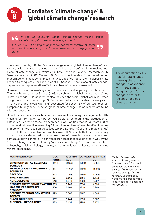

## **Conflates 'climate change' & 'global climate change' research**

*T14 Sec. 3.1: "In current usage, "climate change" means "global climate change", unless otherwise specified."*

*T14 Sec. 4.0: "The sampled papers are not representative of larger samples of papers, and probably not representative of the population either."*

The assumption by T14 that "climate change means global climate change" is at variance with many papers using the term "climate change" to refer to regional, not global, climate change (e.g., White et al.,1997; Gong and Ho, 2002; Meredith, 2005; Seneviratne et al., 2006; Maurer, 2007). This is self-evident from the admission that climate change is sometimes otherwise specified not to refer to global climate change. Consequently, the conclusion of T14 Section 3.1 that "global climate change" papers are not representative of "climate change" papers is irrelevant.

However, it is an interesting idea to compare the disciplinary distributions of Thomson Reuters Web of Science (WoS) search topics "global climate change" and "climate change". T14 apparently also included the term "global warming" when doing this comparison (finding 53,359 papers), which complicates the analysis of T14. In our study "global warming" accounted for about 75% of our total records, compared to only about 25% for "global climate change" (some records are found with both search terms).

Unfortunately, because each paper can have multiple category assignments, little meaningful information can be derived solely by comparing the distribution of categories. Repeating these two searches in WoS we find that 3663 records (103% of the total retrieved) in searching "global climate change" are classified into one or more of ten top research areas (see table); 72,071 (109%) of the "climate change" records fit those research areas. Numbers over 100% indicate that the vast majority of records are categorised under at least one of these ten research areas, and some must fit two or more. The only research areas that are retrieved in WoS by the "climate change" search but not by "global climate change" are nutrition dietetics, philosophy, religion, virology, nursing, telecommunications, literature, and mining mineral processing.

| <b>WoS Research Areas</b>                         | GCC<br>records | % of 3566<br><b>GCC</b> | CC records % of 47728 | cс     |
|---------------------------------------------------|----------------|-------------------------|-----------------------|--------|
| <b>ENVIRONMENTAL SCIENCES</b><br><b>ECOLOGY</b>   | 1412           | 39.596                  | 17904                 | 37.513 |
| <b>METEOROLOGY ATMOSPHERIC</b><br><b>SCIENCES</b> | 417            | 11.694                  | 17904                 | 15.863 |
| <b>GEOLOGY</b>                                    | 413            | 11.582                  | 17904                 | 17.522 |
| <b>ENGINEERING</b>                                | 234            | 6.562                   | 2755                  | 5.772  |
| <b>AGRICULTURE</b>                                | 213            | 5.973                   | 2528                  | 5.297  |
| <b>BIODIVERSITY CONSERVATION 205</b>              |                | 5.749                   | 2334                  | 4.890  |
| <b>MARINE FRESHWATER</b><br><b>BIOLOGY</b>        | 200            | 5.609                   | 2820                  | 5.908  |
| <b>SCIENCE TECHNOLOGY OTHER</b><br>TOPICS         | 199            | 5.580                   | 2167                  | 4.540  |
| <b>PLANT SCIENCES</b>                             | 187            | 5.244                   | 1855                  | 3.887  |
| <b>PHYSICAL GEOGRAPHY</b>                         | 183            | 5.132                   | 3900                  | 8.171  |

The assumption by T14 that "climate change means global climate change" is at variance with many papers using the term "climate change" to refer to regional, not global, climate change

*Table 1: Data records from WoS categorised by "research topic" from topic searches "global climate change" (3566 records) and "climate change" (47728 records). Columns show number and percent of total in each category. Searched May 24, 2014.*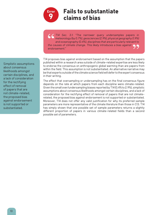

### **Fails to substantiate claims of bias**

*T14 Sec. 3.1: "The narrower query undersamples papers in meteorology (by 0.7%), geosciences (2.9%), physical geography (1.9%) and oceanography (0.4%), disciplines that are particularly relevant to the causes of climate change. This likely introduces a bias against endorsement."*

Simplistic assumptions about consensus likelihoods amongst certain disciplines, and a lack of consideration for the rectifying effect of removal of papers that are not climate-related, the proposed bias against endorsement is not supported or substantiated.

T14 proposes bias against endorsement based on the assumption that the papers published within a research area outside of climate-related expertise are less likely to endorse the consensus on anthropogenic global warming than are papers from within the field. This assumption is not substantiated. An alternative narrative may be that experts outside of the climate science field will defer to the expert consensus in their writing.

The effect that oversampling or undersampling has on the final consensus figure depends on the rate at which papers from each discipline were climate-related. Given the small over/undersampling biases reported by T14 (0.4% to 2.9%), simplistic assumptions about consensus likelihoods amongst certain disciplines, and a lack of consideration for the rectifying effect of removal of papers that are not climaterelated, the proposed bias against endorsement is not supported or substantiated. Moreover, T14 does not offer any valid justification for why its preferred sample parameters are more representative of the climate literature than those in C13. T14 has simply shown that one possible set of sample parameters returns a slightly different proportion of papers in various climate-related fields than a second possible set of parameters.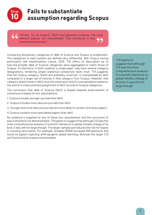

## **Fails to substantiate assumption regarding Scopus**

*T14 Sec. 3.1, on Scopus: "Earth and planetary sciences, the most relevant papers, are oversampled. This introduces a bias towards endorsement."*

Comparing disciplinary categories of Web of Science and Scopus is problematic. The categories in each system are defined very differently, with Scopus having particularly odd classifications (Jacsó, 2011). T14 offers no description as to how the broader Web of Science categories were aggregated to match those of Scopus. Furthermore, in both systems a single paper may have several category designations, rendering simple statistical comparison tests moot. T14 suggests that the Scopus category "Earth and planetary sciences" is oversampled by WoS compared to a larger set of records in that category from Scopus. However, that category doesn't exist in WoS; thus the conclusion that it's oversampled is based on the author's undocumented assignment of WoS records to Scopus categories.

The conclusion that Web of Science (WoS) is biased towards endorsement of consensus is based on four assumptions:

- 1. Scopus includes younger journals than WoS
- 2. Scopus includes more obscure journals than WoS
- 3. Younger and more obscure journals are more likely to contain contrarian papers
- 4. Scopus contains more specialised papers than WoS

No evidence is supplied for any of these four assumptions and the conclusion of bias is therefore not demonstrated. T14 seems to suggest that although C13 was the most comprehensive analysis of scientific literature on global climate change of its kind, it was still not large enough. The larger sample size reduces the risk for biases in counting rare events. For example, Oreskes (2004) surveyed 928 abstracts and found no papers rejecting anthropogenic global warming, whereas the larger C13 set found several unequivocal examples.

 T14 seems to suggest that although C13 was the most comprehensive analysis of scientific literature on global climate change of its kind, it was still not large enough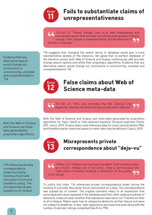

*T14 Sec 3.1: "Overall, though, Cook et al. both undersample and oversample papers that are likely to endorse anthropogenic climate change. Their sample is unrepresentative, but the direction of the bias is unknown."*

T14 suggests that changing the search terms or database would give a more representative sample of the literature. We agree that no perfect database of the literature exists; both Web of Science and Scopus continuously add journals, change search options and refine their proprietary algorithms. Evidence that any alternative search would change our conclusions is unconvincing, untested and unsubstantiated in T14.

#### **12 Error False claims about Web of Science meta-data**

*T14 Sec 3.1: "WoS only considers the title, abstract and keywords, whereas the former [Scopus] uses meta-data too."*

Both the Web of Science and Scopus use meta-data generated by proprietary algorithms for 'topic' (WoS) or 'title-abstract-keyword' (Scopus) searches (Testa, 2011, Jascó, 2011). Scopus lacks cited reference data for many records before 1996, and therefore earlier searches based on meta-data may be deficient (Jascó, 2011).

### **13 Error**

#### **Misrepresents private correspondence about "deja-vu"**

T14 references private correspondence stolen during the hacking of a private discussion forum and posted on a blog. The correspondence was quoted out of context.

Both the Web of Science and Scopus use metadata generated by proprietary algorithms.

> *T14 Sec. 3.2: "Fatigue may have been a problem,8 with low data quality as a result... Indeed, one of the raters, Andy S, worries about the "side-effect of reading hundreds of abstracts" on the quality of his ratings.*

To justify this claim, T14 references private correspondence stolen during the hacking of a private discussion forum and posted on a blog. The correspondence was quoted out of context. The original comment refers to an impression that some abstracts were repeated in the database and that, after reading hundreds of abstracts, it was not clear whether that impression was real or not. This did not refer at all to fatigue. Raters were free to categorise abstracts at their leisure and were not subject to deadlines. In fact, rater experience and expertise grew along with the number of abstract ratings completed (See Error #15).

Evidence that any alternative search would change our conclusions is unconvincing, untested and unsubstantiated in T14.

12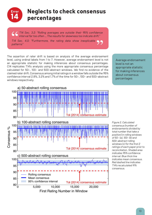

*T14 Sec. 3.2: "Rolling averages are outside their 95% confidence interval far too often … The results for skewness too indicate drift."*

*T14 Sec. 4.0: "Furthermore, the rating data show inexplicable patterns"*

The assertion of rater drift is based on analysis of the average endorsement level, using ordinal labels from 1 to 7. However, average endorsement level is not an appropriate statistic for making inferences about consensus percentages. C14 replicates T14's analysis using the more appropriate consensus percentage calculated for 50-, 100- and 500-abstract windows. We find no evidence of the claimed rater drift. Consensus among initial ratings in a window falls outside the 95% confidence interval 2.8%, 3.2% and 1.7% of the time for 50-, 100- and 500-abstract windows respectively.

Average endorsement level is not an appropriate statistic for making inferences about consensus percentages



*Figure 2. Calculated consensus (number of endorsements divided by total number that take a position) in rolling windows of 50- (a), 100- (b) and 500-abstract rolling windows (c) for the first 2 ratings of each paper prior to reconciliation. Shaded area indicates 95% confidence interval. Blue thick line indicates mean consensus. Red dashed line indicates T14's recalculated 91% consensus.*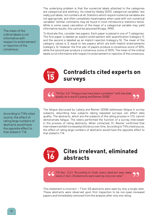The mean of the ordinal labels is not informative with respect to endorsement or rejection of the consensus.

The underlying problem is that the numerical labels attached to the categories are categorical and arbitrary. As noted by Healey (2011), categorical variables "are really just labels, not numbers at all. Statistics which require numerical variables are not appropriate, and often completely meaningless when used with non numerical variables" (similar comments may be found in most introductory statistics texts). While in some cases calculation of the mean of a categorical variable may yield informative results, this cannot be assumed (Knapp, 1990).

To illustrate this, consider two papers. Each paper is placed in one of 7 categories. The first paper is labeled an explicit endorsement with quantification (category 1), and the second is labelled as an implicit rejection (category 5). The mean of the category values is 3, equal to two papers which are both implicit endorsements (category 3). However the first pair of papers produce a consensus score of 50%, while the second pair produce a consensus score of 100%. The mean of the ordinal labels is not informative with respect to endorsement or rejection of the consensus.

#### **15 Error Contradicts cited experts on surveys**

*T14 Sec 3.2: "Fatigue may have been a problem,8 with low data quality as a result (Lyberg and Biemer 2008)."*

According to T14's cited source, the effect of rating large numbers of abstracts would have the opposite effect to that stated in T14.

The fatigue discussed by Lyberg and Biemer (2008) addresses fatigue in survey subjects, describing how subjects taking repeated surveys can affect data quality. The abstracts, which are the subjects of the rating process in C13, cannot demonstrate fatigue. The raters performed the function of a survey interviewer in the process of rating abstracts. When contacted, Dr. Biemer confirmed that interviewers exhibit increased proficiency over time. According to T14's cited source, the effect of rating large numbers of abstracts would have the opposite effect to that stated in T14.

#### **16 Error Cites irrelevant, eliminated abstracts**

*T14 Sec. 3.3.1: "According to Cook, every abstract was rated twice; in fact, 33 abstracts were seen by only one rater."*

This statement is incorrect  $-7$  (not 33) abstracts were seen by only a single rater. These abstracts were observed upon first inspection to be non-peer-reviewed papers and immediately removed from the analysis after only one rating.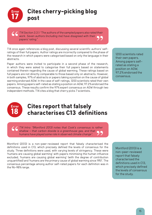

*T14 Section 3.3.1: "The authors of the sampled papers also rated their work. Seven authors (including me) have disagreed with their papers' rating."*

T14 once again references a blog post, discussing several scientific authors' selfratings of their full papers. Author ratings are incorrectly compared to the phase of the research in which papers were categorised based on only the language in their abstracts.

Paper authors were invited to participate in a second phase of the research, in which they were asked to categorise their full papers based on statements contained therein regarding the cause of global warming. These ratings based on full papers are not directly comparable to those based only on abstracts. However, in both samples, 97% of abstracts or papers taking a position on the cause of global warming endorsed AGW. In the case of self-ratings, 1200 scientists rated their own papers. Among papers self-rated as stating a position on AGW, 97.2% endorsed the consensus. These results confirm the 97% expert consensus on AGW through two independent methods. T14 cites a blog that cherry picks 7 scientists.

1200 scientists rated their own papers. Among papers selfrated as stating a position on AGW, 97.2% endorsed the consensus.



## **Cites report that falsely characterises C13 definitions**

*T14 Intro: "(Montford 2013) notes that Cook's consensus is rather shallow – that carbon dioxide is a greenhouse gas, and that humans have played some role in observed climate change".*

Montford (2013) is a non-peer-reviewed report that falsely characterised the definitions used in C13, which precisely defined the levels of consensus for the study. Three definitions were used, with varying levels of stringency. These were 'humans are causing global warming' with papers minimising the human influence excluded, 'humans are causing global warming' (with the degree of contribution unquantified) and 'humans are the primary cause of global warming since 1951'. The consensus percentage among author self-rated papers for each definition was in the 96–98% range.

Montford (2013) is a non-peer-reviewed report that falsely characterised the definitions used in C13, which precisely defined the levels of consensus for the study.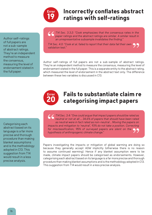![](_page_17_Picture_0.jpeg)

## **Incorrectly conflates abstract ratings with self-ratings**

Author self-ratings of full papers are not a sub-sample of abstract ratings. They're an independent method to measure the consensus, measuring the level of endorsement stated in the full paper.

*T14 Sec. 3.3.2: "Cook emphasizes that the consensus rates in the paper ratings and the abstract ratings are similar. A similar result in an unrepresentative subsample invalidates the finding."*

*T14 Sec. 4.0: "Cook et al. failed to report that their data fail their own validation test."*

Author self-ratings of full papers are not a sub-sample of abstract ratings. They're an independent method to measure the consensus, measuring the level of endorsement stated in the full paper. This is a separate entity to the abstract rating, which measured the level of endorsement in the abstract text only. The difference between these two variables is discussed in C13.

![](_page_17_Picture_6.jpeg)

#### **Fails to substantiate claim re categorising impact papers**

Categorising each abstract based on its language is a far more precise and thorough procedure than making blanket assumptions and is the methodology adopted in C13. This suggestion from T14 would result in a less precise analysis.

*T14 Sec. 3.4: "One could argue that impact papers should be rated as neutral or not at all … 34.6% of papers that should have been rated as neutral were in fact rated as non-neutral .. Moving the papers on impacts and mitigation to 'neutral', 93% do not take a position. Correcting for misclassification, 95% of surveyed papers are silent on the hypothesis of anthropogenic climate change."*

Papers investigating the impacts or mitigation of global warming are doing so because they generally accept AGW implicitly (otherwise there is no reason to assume continued warming). Hence if any blanket assumption were to be made, climate impact papers should be categorised as endorsements. However, categorising each abstract based on its language is a far more precise and thorough procedure than making blanket assumptions and is the methodology adopted in C13. This suggestion from T14 would result in a less precise analysis.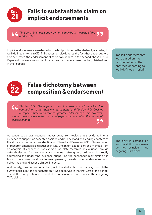![](_page_18_Picture_0.jpeg)

## **Fails to substantiate claim on implicit endorsements**

*T14 Sec. 3.4: "Implicit endorsements may be in the mind of the reader only."*

Implicit endorsements were based on the text published in the abstract, according to well-defined criteria in C13. T14's assertion also ignores the fact that paper authors also self-rated the endorsement of their own papers in the second phase of C13. Paper authors were instructed to rate their own papers based on the published text in their papers.

Implicit endorsements were based on the text published in the abstract, according to well-defined criteria in C13.

![](_page_18_Picture_5.jpeg)

## **False dichotomy between composition & endorsement**

*T14 Sec. 3.5: "The apparent trend in consensus is thus a trend in composition rather than in endorsement." and T14 Sec. 4.0: "Cook et al. report a time trend towards greater endorsement. This, however, is due to an increase in the number of papers that are not on the causes of climate change."* 5

As consensus grows, research moves away from topics that provide additional evidence to support an accepted position and into new and challenging chapters of the story, such as impacts and mitigation (Shwed and Bearman, 2010). This evolution of research emphasis is discussed in C13. One might expect similar dynamics from an analysis of consensus, for example, on plate tectonics or evolution through natural selection. As the consensus continues to strengthen, the interest in directly addressing the underlying evidence supporting the consensus may diminish in favor of more novel questions, for example using the established evidence to inform policy-making and assess climate impacts.

Additionally, the compositional changes in the abstracts occur halfway through the survey period, but the consensus shift was observed in the first 25% of the period. The shift in composition and the shift in consensus do not coincide, thus negating T14's claim.

The shift in composition and the shift in consensus do not coincide, thus negating T14's claim.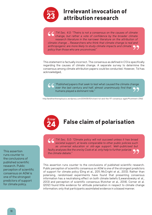![](_page_19_Picture_0.jpeg)

## **Irrelevant invocation of attribution research**

*T14 Sec. 4.0: "Theirs is not a consensus on the causes of climate change, but rather a vote of confidence by the broader climate research literature in the narrower literature on the attribution of climate change … Researchers who think that climate change is real and anthropogenic are more likely to study climate impacts and climate policy than those who are unconvinced."*

This statement is factually incorrect. The consensus as defined in C13 is specifically regarding the causes of climate change. A separate survey to determine the consensus among climate attribution papers could be conducted. However, Tol has acknowledged,

*"Published papers that seek to test what caused the climate change over the last century and half, almost unanimously find that humans played a dominant role."*

http://andthentheresphysics.wordpress.com/2014/05/10/richard-tol-and-the-97-consensus-again/#comment-21162

![](_page_19_Picture_6.jpeg)

## **False claim of polarisation**

*T14 Sec. 5.0: "Climate policy will not succeed unless it has broad societal support, at levels comparable to other public policies such as universal education or old-age support. Well-publicised but faulty analyses like the one by Cook et al. only help to further polarize the climate debate."*

This assertion runs counter to the conclusions of published scientific research. Public perception of scientific consensus on AGW is one of the strongest predictors of support for climate policy (Ding et al., 2011; McCright et al., 2013). Rather than polarising, randomised experiments have found that presenting consensus information has a neutralising effect on both climate beliefs (Lewandowsky et al., 2013) and perception of scientific consensus (Kotcher et al., 2014). Corner et al. (2012) found little evidence for attitude polarisation in respect to climate change information; only that participants assimilated evidence in a biased manner.

This assertion runs counter to the conclusions of published scientific research. Public perception of scientific consensus on AGW is one of the strongest predictors of support for climate policy.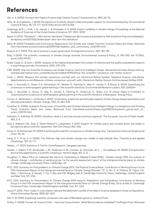## **References**

Abt, H. A. (2000). Do Important Papers Produce High Citation Counts? Scientometrics, 48(1), 65–70.

- Aklin, M., & Urpelainen, J. (2014). Perceptions of scientific dissent undermine public support for environmental policy. Environmental Science & Policy, 38, 173–177. doi:10.1016/j.envsci.2013.10.006.
- Anderegg, W. R. L., Prall, J. W., Harold, J., & Schneider, S. H. (2010). Expert credibility in climate change. Proceedings of the National Academy of Sciences of the United States of America, 107, 12107-12109.
- Bauer, H. (2013). "Denialism" Who are the "denialists"? Skepticism about science and medicine. Retrieved from http://scimedskeptic. wordpress.com/2013/02/16/denialism-who-are-the-denialists/
- Behe, M. (2009). Probability and Controversy: Response to Carl Zimmer and Joseph Thornton. Evolution News and Views. Retrieved from http://www.evolutionnews.org/2009/10/probability\_and\_controversy\_re027491.html
- Boesch, D. F. (1999). The role of science in ocean governance. Ecological Economics, 31(2), 189-198.
- Bray, D (2010). The scientific consensus of climate change revisited. Environmental Science & Policy, 13, 340-350. doi: 10.1016/j. envsci.2010.04.001.
- Buela-Casal, G., & Zych, I. (2010). Analysis of the relationship between the number of citations and the quality evaluated by experts in psychology journals. Psicothema, 22(2), 270–276.
- C4ID. (2009). How the Scientific Consensus can hinder Science. Centre for Intelligent Design. Retrieved from https://www.c4id.org. uk/index.php?option=com\_content&view=article&id=209%3Ahow-the-scientific-consensus-can-hinder-science
- Cook, J. (2013). Measure the climate consensus yourself with our Interactive Rating System. Skeptical Science. http://www. skepticalscience.com/Measure-climate-consensus-yourself-with-Interactive-Rating-System.html (accessed 26 May 2014).
- Cook, J., Nuccitelli, D., Green, S.A., Richardson, M., Winkler, B., Painting, R., Way, R., Jacobs, P., & Skuce, A. (2013). Quantifying the consensus on anthropogenic global warming in the scientific literature. Environmental Research Letters, 8(2), 024024+.
- Cook, J., Nuccitelli, D., Skuce, A., Way, R., Jacobs, P., Painting, R., Honeycutt, R., Green, S.A. (in press). Reply to Comment on 'Quantifying the consensus on anthropogenic global warming in the scientific literature: a Reanalysis'. Energy Policy.
- Corner, A., Whitmarsh, L., & Xenias, D. (2012). Uncertainty, scepticism and attitudes towards climate change: biased assimilation and attitude polarisation. Climatic change, 114(3-4), 463-478.
- Crowther, R. (2005). Academic Persecution of Scientists and Scholars Researching Intelligent Design is a Dangerous and Growing Trend. Evolution News and Views. Retrieved from http://www.evolutionnews.org/2005/12/academic\_persecution\_of\_ scient\_1001701.html
- Diethelm, P., & McKee, M. (2009). Denialism: what is it and how should scientists respond?. The European Journal of Public Health, 19(1), 2-4.
- Ding D, Maibach EW, Zhao X, Roser-Renouf C, Leiserowitz A (2011) Support for climate policy and societal action are linked to perceptions about scientific agreement. Nat Clim Chang 1:462–466.
- Doran, P., & Zimmerman, M. (2009). Examining the scientific consensus on climate change. Eos, Transactions American Geophysical Union, 90, 22.
- Gong, D. Y., & Ho, C. H. (2002). The Siberian High and climate change over middle to high latitude Asia. Theoretical and applied climatology, 72(1-2), 1-9.
- Healey, J. F. (2011). Statistics: A Tool for Social Research. Cengage Learning.
- Heisler, J., Glibert, P. M., Burkholder, J. M., Anderson, D. M., Cochlan, W., Dennison, W. C., ... & Suddleson, M. (2008). Eutrophication and harmful algal blooms: a scientific consensus. Harmful algae, 8(1), 3-13.
- Houghton JT, Meira Filho LG, Callander BA, Harris N, Kattenberg A, Maskell K (eds) (1996). Climate change 1995: the science of climate change – contribution of working group I to the second assessment report of the intergovernmental panel on climate change. Cambridge University Press, Cambridge, UK.
- IPCC, 2013: Summary for Policymakers. In: Climate Change 2013: The Physical Science Basis. Contribution of Working Group I to the Fifth Assessment Report of the Intergovernmental Panel on Climate Change [Stocker, T.F., D. Qin, G.-K. Plattner, M. Tignor, S.K. Allen, J. Boschung, A. Nauels, Y. Xia, V. Bex and P.M. Midgley (eds.)]. Cambridge University Press, Cambridge, United Kingdom and New York, NY, USA.
- IPCC, 2014: Summary for Policymakers. In: Climate Change 2014: Impacts, Adaptation, and Vulnerability. Contribution of Working Group II to the Fifth Assessment Report of the Intergovernmental Panel on Climate Change [Field, CB et al (eds.)]. Cambridge University Press, Cambridge, United Kingdom and New York, NY, USA.
- Jacsó, P. (2011). The h-index, h-core citation rate and the bibliometric profile of the Web of Science database in three configurations. Online Information Review, 35(5), 821-833.
- Kim, K. M. (1994). Explaining scientific consensus: the case of Mendelian genetics. Guilford Press.

Kirkby, D. (2008). Former UK Science Chief — Vaccines Cause Autism: "What More Evidence is Needed?" Huffington Post. Retrieved